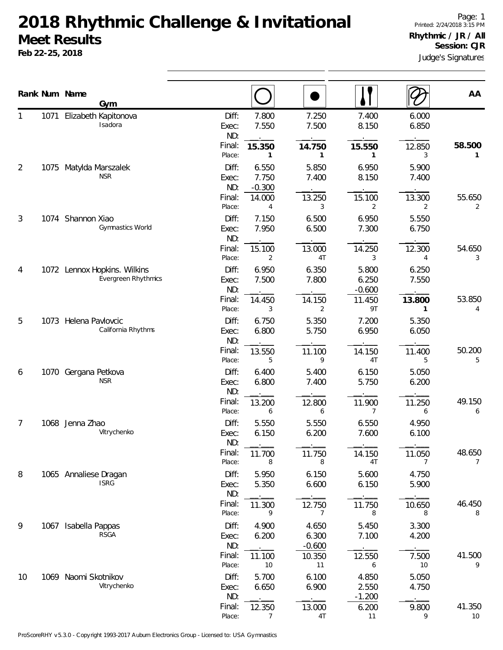## **2018 Rhythmic Challenge & Invitational Meet Results**

**Feb 22-25, 2018**

|                |      | Rank Num Name<br>Gym                                |                                           |                                 |                                |                                            |                                          | AA                       |
|----------------|------|-----------------------------------------------------|-------------------------------------------|---------------------------------|--------------------------------|--------------------------------------------|------------------------------------------|--------------------------|
|                | 1071 | Elizabeth Kapitonova<br>Isadora                     | Diff:<br>Exec:<br>ND:<br>Final:           | 7.800<br>7.550<br>15.350        | 7.250<br>7.500<br>14.750       | 7.400<br>8.150<br>15.550                   | 6.000<br>6.850<br>12.850                 | 58.500                   |
| $\overline{2}$ |      | 1075 Matylda Marszalek<br><b>NSR</b>                | Place:<br>Diff:<br>Exec:<br>ND:           | 1<br>6.550<br>7.750<br>$-0.300$ | 1<br>5.850<br>7.400            | 1<br>6.950<br>8.150                        | 3<br>5.900<br>7.400                      | 1                        |
| 3              |      | 1074 Shannon Xiao<br>Gymnastics World               | Final:<br>Place:<br>Diff:<br>Exec:<br>ND: | 14.000<br>4<br>7.150<br>7.950   | 13.250<br>3<br>6.500<br>6.500  | 15.100<br>2<br>6.950<br>7.300              | 13.300<br>2<br>5.550<br>6.750            | 55.650<br>2              |
|                |      |                                                     | Final:<br>Place:                          | 15.100<br>2                     | 13.000<br>4T                   | 14.250<br>3                                | 12.300<br>4                              | 54.650<br>3              |
| 4              |      | 1072 Lennox Hopkins. Wilkins<br>Evergreen Rhythmics | Diff:<br>Exec:<br>ND:<br>Final:<br>Place: | 6.950<br>7.500<br>14.450<br>3   | 6.350<br>7.800<br>14.150<br>2  | 5.800<br>6.250<br>$-0.600$<br>11.450<br>9T | 6.250<br>7.550<br>13.800<br>$\mathbf{1}$ | 53.850<br>4              |
| 5              |      | 1073 Helena Pavlovcic<br>California Rhythms         | Diff:<br>Exec:<br>ND:                     | 6.750<br>6.800                  | 5.350<br>5.750                 | 7.200<br>6.950                             | 5.350<br>6.050                           |                          |
| 6              |      | 1070 Gergana Petkova<br><b>NSR</b>                  | Final:<br>Place:<br>Diff:<br>Exec:        | 13.550<br>5<br>6.400<br>6.800   | 11.100<br>9<br>5.400<br>7.400  | 14.150<br>4T<br>6.150<br>5.750             | 11.400<br>5<br>5.050<br>6.200            | 50.200<br>5              |
|                |      |                                                     | ND:<br>Final:<br>Place:                   | 13.200<br>6                     | 12.800<br>6                    | 11.900<br>7                                | 11.250<br>6                              | 49.150<br>6              |
| 7              | 1068 | Jenna Zhao<br>Vitrychenko                           | Diff:<br>Exec:<br>ND:                     | 5.550<br>6.150                  | 5.550<br>6.200                 | 6.550<br>7.600                             | 4.950<br>6.100                           |                          |
| 8              |      | 1065 Annaliese Dragan                               | Final:<br>Place:<br>Diff:                 | 11.700<br>8<br>5.950            | 11.750<br>8<br>6.150           | 14.150<br>4T<br>5.600                      | 11.050<br>7<br>4.750                     | 48.650<br>$\overline{7}$ |
|                |      | <b>ISRG</b>                                         | Exec:<br>ND:<br>Final:<br>Place:          | 5.350<br>11.300<br>9            | 6.600<br>12.750<br>7           | 6.150<br>11.750<br>8                       | 5.900<br>10.650<br>8                     | 46.450<br>8              |
| 9              | 1067 | Isabella Pappas<br><b>RSGA</b>                      | Diff:<br>Exec:<br>ND:<br>Final:           | 4.900<br>6.200                  | 4.650<br>6.300<br>$-0.600$     | 5.450<br>7.100                             | 3.300<br>4.200                           |                          |
| 10             |      | 1069 Naomi Skotnikov<br>Vitrychenko                 | Place:<br>Diff:<br>Exec:                  | 11.100<br>10<br>5.700<br>6.650  | 10.350<br>11<br>6.100<br>6.900 | 12.550<br>6<br>4.850<br>2.550              | 7.500<br>10<br>5.050<br>4.750            | 41.500<br>9              |
|                |      |                                                     | ND:<br>Final:<br>Place:                   | 12.350<br>7                     | 13.000<br>4T                   | $-1.200$<br>6.200<br>11                    | 9.800<br>9                               | 41.350<br>10             |